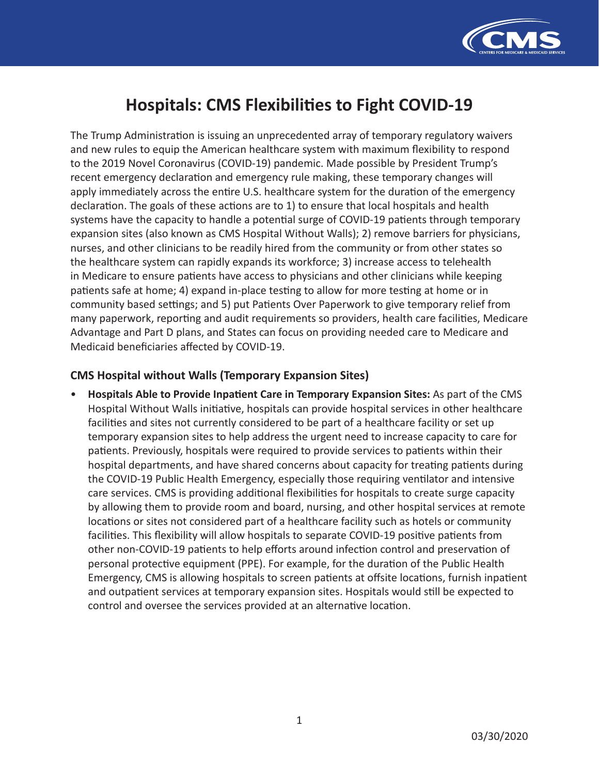

# **Hospitals: CMS Flexibilities to Fight COVID-19**

The Trump Administration is issuing an unprecedented array of temporary regulatory waivers and new rules to equip the American healthcare system with maximum flexibility to respond to the 2019 Novel Coronavirus (COVID-19) pandemic. Made possible by President Trump's recent emergency declaration and emergency rule making, these temporary changes will apply immediately across the entire U.S. healthcare system for the duration of the emergency declaration. The goals of these actions are to 1) to ensure that local hospitals and health systems have the capacity to handle a potential surge of COVID-19 patients through temporary expansion sites (also known as CMS Hospital Without Walls); 2) remove barriers for physicians, nurses, and other clinicians to be readily hired from the community or from other states so the healthcare system can rapidly expands its workforce; 3) increase access to telehealth in Medicare to ensure patients have access to physicians and other clinicians while keeping patients safe at home; 4) expand in-place testing to allow for more testing at home or in community based settings; and 5) put Patients Over Paperwork to give temporary relief from many paperwork, reporting and audit requirements so providers, health care facilities, Medicare Advantage and Part D plans, and States can focus on providing needed care to Medicare and Medicaid beneficiaries affected by COVID-19.

## **CMS Hospital without Walls (Temporary Expansion Sites)**

• **Hospitals Able to Provide Inpatient Care in Temporary Expansion Sites:** As part of the CMS Hospital Without Walls initiative, hospitals can provide hospital services in other healthcare facilities and sites not currently considered to be part of a healthcare facility or set up temporary expansion sites to help address the urgent need to increase capacity to care for patients. Previously, hospitals were required to provide services to patients within their hospital departments, and have shared concerns about capacity for treating patients during the COVID-19 Public Health Emergency, especially those requiring ventilator and intensive care services. CMS is providing additional flexibilities for hospitals to create surge capacity by allowing them to provide room and board, nursing, and other hospital services at remote locations or sites not considered part of a healthcare facility such as hotels or community facilities. This flexibility will allow hospitals to separate COVID-19 positive patients from other non-COVID-19 patients to help efforts around infection control and preservation of personal protective equipment (PPE). For example, for the duration of the Public Health Emergency, CMS is allowing hospitals to screen patients at offsite locations, furnish inpatient and outpatient services at temporary expansion sites. Hospitals would still be expected to control and oversee the services provided at an alternative location.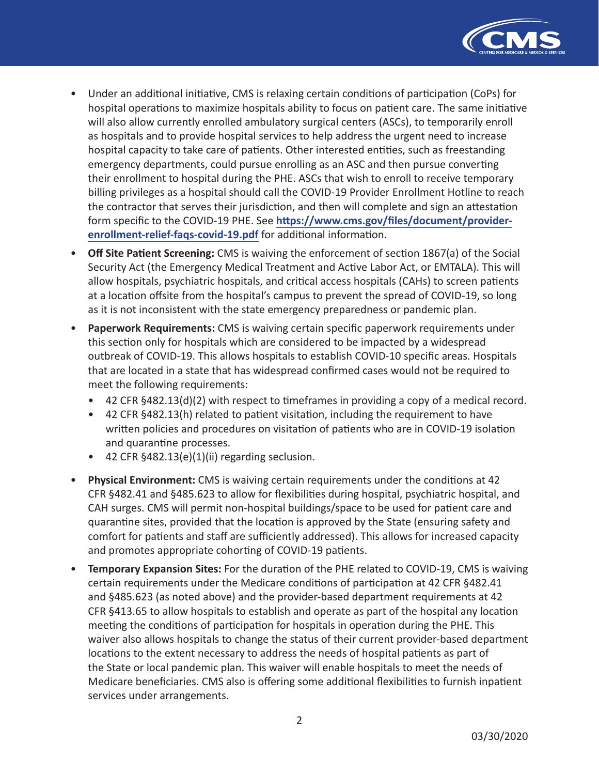

- Under an additional initiative, CMS is relaxing certain conditions of participation (CoPs) for hospital operations to maximize hospitals ability to focus on patient care. The same initiative will also allow currently enrolled ambulatory surgical centers (ASCs), to temporarily enroll as hospitals and to provide hospital services to help address the urgent need to increase hospital capacity to take care of patients. Other interested entities, such as freestanding emergency departments, could pursue enrolling as an ASC and then pursue converting their enrollment to hospital during the PHE. ASCs that wish to enroll to receive temporary billing privileges as a hospital should call the COVID-19 Provider Enrollment Hotline to reach the contractor that serves their jurisdiction, and then will complete and sign an attestation form specific to the COVID-19 PHE. See **[https://www.cms.gov/files/document/provider](https://www.cms.gov/files/document/provider-enrollment-relief-faqs-covid-19.pdf)[enrollment-relief-faqs-covid-19.pdf](https://www.cms.gov/files/document/provider-enrollment-relief-faqs-covid-19.pdf)** for additional information.
- **Off Site Patient Screening:** CMS is waiving the enforcement of section 1867(a) of the Social Security Act (the Emergency Medical Treatment and Active Labor Act, or EMTALA). This will allow hospitals, psychiatric hospitals, and critical access hospitals (CAHs) to screen patients at a location offsite from the hospital's campus to prevent the spread of COVID-19, so long as it is not inconsistent with the state emergency preparedness or pandemic plan.
- **Paperwork Requirements:** CMS is waiving certain specific paperwork requirements under this section only for hospitals which are considered to be impacted by a widespread outbreak of COVID-19. This allows hospitals to establish COVID-10 specific areas. Hospitals that are located in a state that has widespread confirmed cases would not be required to meet the following requirements:
	- 42 CFR §482.13(d)(2) with respect to timeframes in providing a copy of a medical record.
	- 42 CFR §482.13(h) related to patient visitation, including the requirement to have written policies and procedures on visitation of patients who are in COVID-19 isolation and quarantine processes.
	- 42 CFR §482.13(e)(1)(ii) regarding seclusion.
- **Physical Environment:** CMS is waiving certain requirements under the conditions at 42 CFR §482.41 and §485.623 to allow for flexibilities during hospital, psychiatric hospital, and CAH surges. CMS will permit non-hospital buildings/space to be used for patient care and quarantine sites, provided that the location is approved by the State (ensuring safety and comfort for patients and staff are sufficiently addressed). This allows for increased capacity and promotes appropriate cohorting of COVID-19 patients.
- **Temporary Expansion Sites:** For the duration of the PHE related to COVID-19, CMS is waiving certain requirements under the Medicare conditions of participation at 42 CFR §482.41 and §485.623 (as noted above) and the provider-based department requirements at 42 CFR §413.65 to allow hospitals to establish and operate as part of the hospital any location meeting the conditions of participation for hospitals in operation during the PHE. This waiver also allows hospitals to change the status of their current provider-based department locations to the extent necessary to address the needs of hospital patients as part of the State or local pandemic plan. This waiver will enable hospitals to meet the needs of Medicare beneficiaries. CMS also is offering some additional flexibilities to furnish inpatient services under arrangements.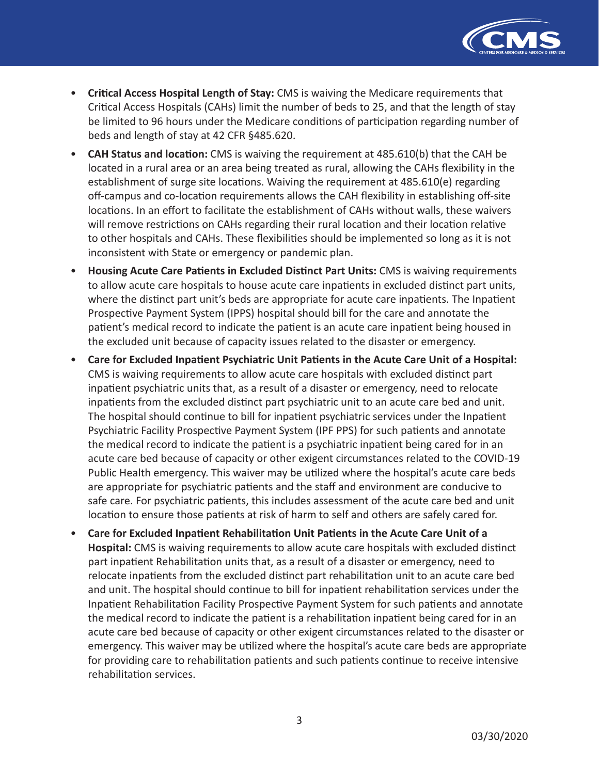

- **Critical Access Hospital Length of Stay:** CMS is waiving the Medicare requirements that Critical Access Hospitals (CAHs) limit the number of beds to 25, and that the length of stay be limited to 96 hours under the Medicare conditions of participation regarding number of beds and length of stay at 42 CFR §485.620.
- **CAH Status and location:** CMS is waiving the requirement at 485.610(b) that the CAH be located in a rural area or an area being treated as rural, allowing the CAHs flexibility in the establishment of surge site locations. Waiving the requirement at 485.610(e) regarding off-campus and co-location requirements allows the CAH flexibility in establishing off-site locations. In an effort to facilitate the establishment of CAHs without walls, these waivers will remove restrictions on CAHs regarding their rural location and their location relative to other hospitals and CAHs. These flexibilities should be implemented so long as it is not inconsistent with State or emergency or pandemic plan.
- **Housing Acute Care Patients in Excluded Distinct Part Units:** CMS is waiving requirements to allow acute care hospitals to house acute care inpatients in excluded distinct part units, where the distinct part unit's beds are appropriate for acute care inpatients. The Inpatient Prospective Payment System (IPPS) hospital should bill for the care and annotate the patient's medical record to indicate the patient is an acute care inpatient being housed in the excluded unit because of capacity issues related to the disaster or emergency.
- **Care for Excluded Inpatient Psychiatric Unit Patients in the Acute Care Unit of a Hospital:**  CMS is waiving requirements to allow acute care hospitals with excluded distinct part inpatient psychiatric units that, as a result of a disaster or emergency, need to relocate inpatients from the excluded distinct part psychiatric unit to an acute care bed and unit. The hospital should continue to bill for inpatient psychiatric services under the Inpatient Psychiatric Facility Prospective Payment System (IPF PPS) for such patients and annotate the medical record to indicate the patient is a psychiatric inpatient being cared for in an acute care bed because of capacity or other exigent circumstances related to the COVID-19 Public Health emergency. This waiver may be utilized where the hospital's acute care beds are appropriate for psychiatric patients and the staff and environment are conducive to safe care. For psychiatric patients, this includes assessment of the acute care bed and unit location to ensure those patients at risk of harm to self and others are safely cared for.
- **Care for Excluded Inpatient Rehabilitation Unit Patients in the Acute Care Unit of a Hospital:** CMS is waiving requirements to allow acute care hospitals with excluded distinct part inpatient Rehabilitation units that, as a result of a disaster or emergency, need to relocate inpatients from the excluded distinct part rehabilitation unit to an acute care bed and unit. The hospital should continue to bill for inpatient rehabilitation services under the Inpatient Rehabilitation Facility Prospective Payment System for such patients and annotate the medical record to indicate the patient is a rehabilitation inpatient being cared for in an acute care bed because of capacity or other exigent circumstances related to the disaster or emergency. This waiver may be utilized where the hospital's acute care beds are appropriate for providing care to rehabilitation patients and such patients continue to receive intensive rehabilitation services.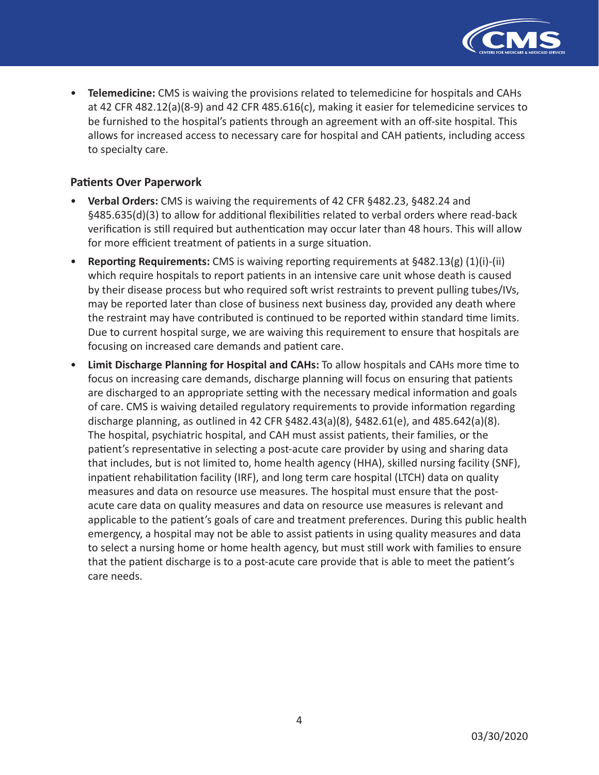

• **Telemedicine:** CMS is waiving the provisions related to telemedicine for hospitals and CAHs at 42 CFR 482.12(a)(8-9) and 42 CFR 485.616(c), making it easier for telemedicine services to be furnished to the hospital's patients through an agreement with an off-site hospital. This allows for increased access to necessary care for hospital and CAH patients, including access to specialty care.

### **Patients Over Paperwork**

- **Verbal Orders:** CMS is waiving the requirements of 42 CFR §482.23, §482.24 and §485.635(d)(3) to allow for additional flexibilities related to verbal orders where read-back verification is still required but authentication may occur later than 48 hours. This will allow for more efficient treatment of patients in a surge situation.
- **Reporting Requirements:** CMS is waiving reporting requirements at §482.13(g) (1)(i)-(ii) which require hospitals to report patients in an intensive care unit whose death is caused by their disease process but who required soft wrist restraints to prevent pulling tubes/IVs, may be reported later than close of business next business day, provided any death where the restraint may have contributed is continued to be reported within standard time limits. Due to current hospital surge, we are waiving this requirement to ensure that hospitals are focusing on increased care demands and patient care.
- **Limit Discharge Planning for Hospital and CAHs:** To allow hospitals and CAHs more time to focus on increasing care demands, discharge planning will focus on ensuring that patients are discharged to an appropriate setting with the necessary medical information and goals of care. CMS is waiving detailed regulatory requirements to provide information regarding discharge planning, as outlined in 42 CFR  $§482.43(a)(8)$ ,  $§482.61(e)$ , and  $485.642(a)(8)$ . The hospital, psychiatric hospital, and CAH must assist patients, their families, or the patient's representative in selecting a post-acute care provider by using and sharing data that includes, but is not limited to, home health agency (HHA), skilled nursing facility (SNF), inpatient rehabilitation facility (IRF), and long term care hospital (LTCH) data on quality measures and data on resource use measures. The hospital must ensure that the postacute care data on quality measures and data on resource use measures is relevant and applicable to the patient's goals of care and treatment preferences. During this public health emergency, a hospital may not be able to assist patients in using quality measures and data to select a nursing home or home health agency, but must still work with families to ensure that the patient discharge is to a post-acute care provide that is able to meet the patient's care needs.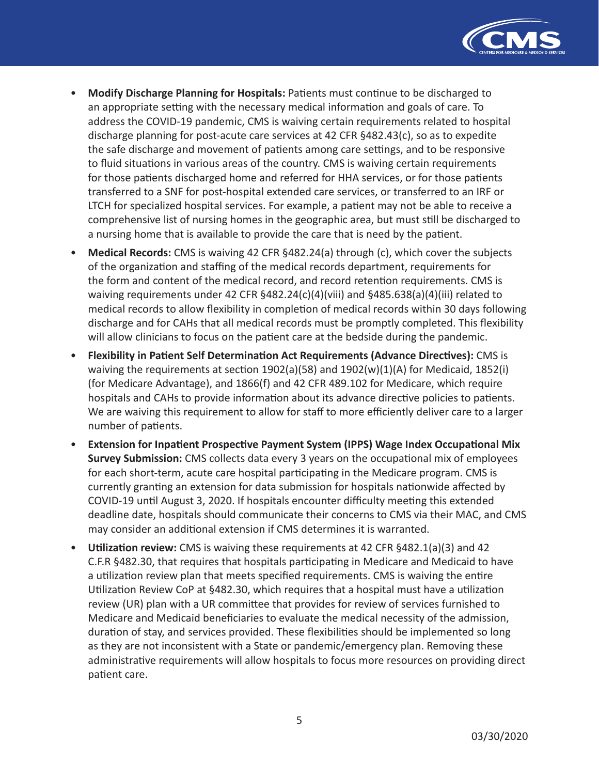

- **Modify Discharge Planning for Hospitals:** Patients must continue to be discharged to an appropriate setting with the necessary medical information and goals of care. To address the COVID-19 pandemic, CMS is waiving certain requirements related to hospital discharge planning for post-acute care services at 42 CFR §482.43(c), so as to expedite the safe discharge and movement of patients among care settings, and to be responsive to fluid situations in various areas of the country. CMS is waiving certain requirements for those patients discharged home and referred for HHA services, or for those patients transferred to a SNF for post-hospital extended care services, or transferred to an IRF or LTCH for specialized hospital services. For example, a patient may not be able to receive a comprehensive list of nursing homes in the geographic area, but must still be discharged to a nursing home that is available to provide the care that is need by the patient.
- **Medical Records:** CMS is waiving 42 CFR §482.24(a) through (c), which cover the subjects of the organization and staffing of the medical records department, requirements for the form and content of the medical record, and record retention requirements. CMS is waiving requirements under 42 CFR §482.24(c)(4)(viii) and §485.638(a)(4)(iii) related to medical records to allow flexibility in completion of medical records within 30 days following discharge and for CAHs that all medical records must be promptly completed. This flexibility will allow clinicians to focus on the patient care at the bedside during the pandemic.
- **Flexibility in Patient Self Determination Act Requirements (Advance Directives):** CMS is waiving the requirements at section 1902(a)(58) and 1902(w)(1)(A) for Medicaid, 1852(i) (for Medicare Advantage), and 1866(f) and 42 CFR 489.102 for Medicare, which require hospitals and CAHs to provide information about its advance directive policies to patients. We are waiving this requirement to allow for staff to more efficiently deliver care to a larger number of patients.
- **Extension for Inpatient Prospective Payment System (IPPS) Wage Index Occupational Mix Survey Submission:** CMS collects data every 3 years on the occupational mix of employees for each short-term, acute care hospital participating in the Medicare program. CMS is currently granting an extension for data submission for hospitals nationwide affected by COVID-19 until August 3, 2020. If hospitals encounter difficulty meeting this extended deadline date, hospitals should communicate their concerns to CMS via their MAC, and CMS may consider an additional extension if CMS determines it is warranted.
- **Utilization review:** CMS is waiving these requirements at 42 CFR §482.1(a)(3) and 42 C.F.R §482.30, that requires that hospitals participating in Medicare and Medicaid to have a utilization review plan that meets specified requirements. CMS is waiving the entire Utilization Review CoP at §482.30, which requires that a hospital must have a utilization review (UR) plan with a UR committee that provides for review of services furnished to Medicare and Medicaid beneficiaries to evaluate the medical necessity of the admission, duration of stay, and services provided. These flexibilities should be implemented so long as they are not inconsistent with a State or pandemic/emergency plan. Removing these administrative requirements will allow hospitals to focus more resources on providing direct patient care.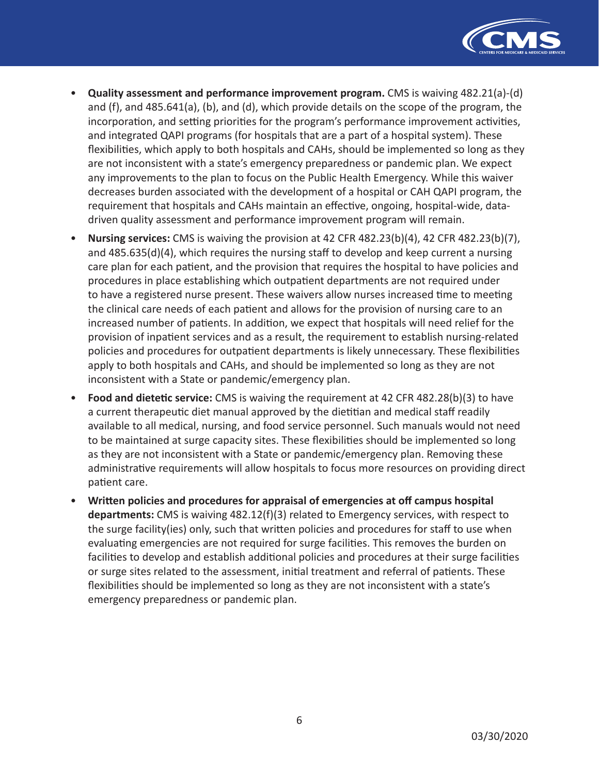

- **Quality assessment and performance improvement program.** CMS is waiving 482.21(a)-(d) and (f), and 485.641(a), (b), and (d), which provide details on the scope of the program, the incorporation, and setting priorities for the program's performance improvement activities, and integrated QAPI programs (for hospitals that are a part of a hospital system). These flexibilities, which apply to both hospitals and CAHs, should be implemented so long as they are not inconsistent with a state's emergency preparedness or pandemic plan. We expect any improvements to the plan to focus on the Public Health Emergency. While this waiver decreases burden associated with the development of a hospital or CAH QAPI program, the requirement that hospitals and CAHs maintain an effective, ongoing, hospital-wide, datadriven quality assessment and performance improvement program will remain.
- **Nursing services:** CMS is waiving the provision at 42 CFR 482.23(b)(4), 42 CFR 482.23(b)(7), and 485.635(d)(4), which requires the nursing staff to develop and keep current a nursing care plan for each patient, and the provision that requires the hospital to have policies and procedures in place establishing which outpatient departments are not required under to have a registered nurse present. These waivers allow nurses increased time to meeting the clinical care needs of each patient and allows for the provision of nursing care to an increased number of patients. In addition, we expect that hospitals will need relief for the provision of inpatient services and as a result, the requirement to establish nursing-related policies and procedures for outpatient departments is likely unnecessary. These flexibilities apply to both hospitals and CAHs, and should be implemented so long as they are not inconsistent with a State or pandemic/emergency plan.
- **Food and dietetic service:** CMS is waiving the requirement at 42 CFR 482.28(b)(3) to have a current therapeutic diet manual approved by the dietitian and medical staff readily available to all medical, nursing, and food service personnel. Such manuals would not need to be maintained at surge capacity sites. These flexibilities should be implemented so long as they are not inconsistent with a State or pandemic/emergency plan. Removing these administrative requirements will allow hospitals to focus more resources on providing direct patient care.
- **Written policies and procedures for appraisal of emergencies at off campus hospital departments:** CMS is waiving 482.12(f)(3) related to Emergency services, with respect to the surge facility(ies) only, such that written policies and procedures for staff to use when evaluating emergencies are not required for surge facilities. This removes the burden on facilities to develop and establish additional policies and procedures at their surge facilities or surge sites related to the assessment, initial treatment and referral of patients. These flexibilities should be implemented so long as they are not inconsistent with a state's emergency preparedness or pandemic plan.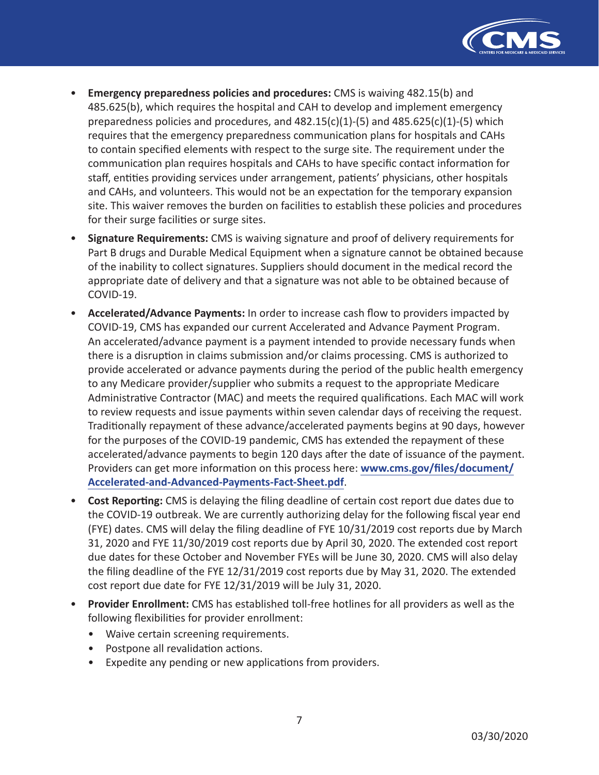

- **Emergency preparedness policies and procedures:** CMS is waiving 482.15(b) and 485.625(b), which requires the hospital and CAH to develop and implement emergency preparedness policies and procedures, and  $482.15(c)(1)-(5)$  and  $485.625(c)(1)-(5)$  which requires that the emergency preparedness communication plans for hospitals and CAHs to contain specified elements with respect to the surge site. The requirement under the communication plan requires hospitals and CAHs to have specific contact information for staff, entities providing services under arrangement, patients' physicians, other hospitals and CAHs, and volunteers. This would not be an expectation for the temporary expansion site. This waiver removes the burden on facilities to establish these policies and procedures for their surge facilities or surge sites.
- **Signature Requirements:** CMS is waiving signature and proof of delivery requirements for Part B drugs and Durable Medical Equipment when a signature cannot be obtained because of the inability to collect signatures. Suppliers should document in the medical record the appropriate date of delivery and that a signature was not able to be obtained because of COVID-19.
- **Accelerated/Advance Payments:** In order to increase cash flow to providers impacted by COVID-19, CMS has expanded our current Accelerated and Advance Payment Program. An accelerated/advance payment is a payment intended to provide necessary funds when there is a disruption in claims submission and/or claims processing. CMS is authorized to provide accelerated or advance payments during the period of the public health emergency to any Medicare provider/supplier who submits a request to the appropriate Medicare Administrative Contractor (MAC) and meets the required qualifications. Each MAC will work to review requests and issue payments within seven calendar days of receiving the request. Traditionally repayment of these advance/accelerated payments begins at 90 days, however for the purposes of the COVID-19 pandemic, CMS has extended the repayment of these accelerated/advance payments to begin 120 days after the date of issuance of the payment. Providers can get more information on this process here: **[www.cms.gov/files/document/](www.cms.gov/files/document/Accelerated-and-Advanced-Payments-Fact-Sheet.pdf) [Accelerated-and-Advanced-Payments-Fact-Sheet.pdf](www.cms.gov/files/document/Accelerated-and-Advanced-Payments-Fact-Sheet.pdf)**.
- **Cost Reporting:** CMS is delaying the filing deadline of certain cost report due dates due to the COVID-19 outbreak. We are currently authorizing delay for the following fiscal year end (FYE) dates. CMS will delay the filing deadline of FYE 10/31/2019 cost reports due by March 31, 2020 and FYE 11/30/2019 cost reports due by April 30, 2020. The extended cost report due dates for these October and November FYEs will be June 30, 2020. CMS will also delay the filing deadline of the FYE 12/31/2019 cost reports due by May 31, 2020. The extended cost report due date for FYE 12/31/2019 will be July 31, 2020.
- **Provider Enrollment:** CMS has established toll-free hotlines for all providers as well as the following flexibilities for provider enrollment:
	- Waive certain screening requirements.
	- Postpone all revalidation actions.
	- Expedite any pending or new applications from providers.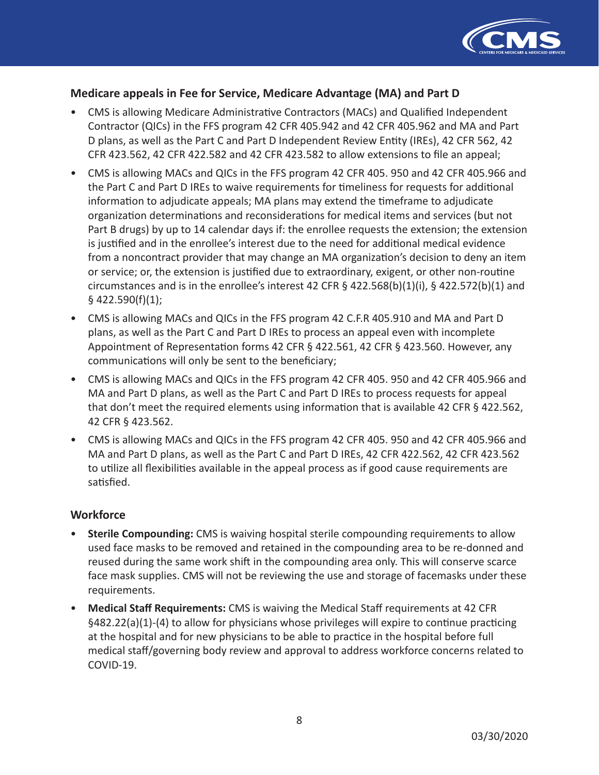

### **Medicare appeals in Fee for Service, Medicare Advantage (MA) and Part D**

- CMS is allowing Medicare Administrative Contractors (MACs) and Qualified Independent Contractor (QICs) in the FFS program 42 CFR 405.942 and 42 CFR 405.962 and MA and Part D plans, as well as the Part C and Part D Independent Review Entity (IREs), 42 CFR 562, 42 CFR 423.562, 42 CFR 422.582 and 42 CFR 423.582 to allow extensions to file an appeal;
- CMS is allowing MACs and QICs in the FFS program 42 CFR 405. 950 and 42 CFR 405.966 and the Part C and Part D IREs to waive requirements for timeliness for requests for additional information to adjudicate appeals; MA plans may extend the timeframe to adjudicate organization determinations and reconsiderations for medical items and services (but not Part B drugs) by up to 14 calendar days if: the enrollee requests the extension; the extension is justified and in the enrollee's interest due to the need for additional medical evidence from a noncontract provider that may change an MA organization's decision to deny an item or service; or, the extension is justified due to extraordinary, exigent, or other non-routine circumstances and is in the enrollee's interest 42 CFR  $\S$  422.568(b)(1)(i),  $\S$  422.572(b)(1) and § 422.590(f)(1);
- CMS is allowing MACs and QICs in the FFS program 42 C.F.R 405.910 and MA and Part D plans, as well as the Part C and Part D IREs to process an appeal even with incomplete Appointment of Representation forms 42 CFR § 422.561, 42 CFR § 423.560. However, any communications will only be sent to the beneficiary;
- CMS is allowing MACs and QICs in the FFS program 42 CFR 405. 950 and 42 CFR 405.966 and MA and Part D plans, as well as the Part C and Part D IREs to process requests for appeal that don't meet the required elements using information that is available 42 CFR § 422.562, 42 CFR § 423.562.
- CMS is allowing MACs and QICs in the FFS program 42 CFR 405. 950 and 42 CFR 405.966 and MA and Part D plans, as well as the Part C and Part D IREs, 42 CFR 422.562, 42 CFR 423.562 to utilize all flexibilities available in the appeal process as if good cause requirements are satisfied.

#### **Workforce**

- **Sterile Compounding:** CMS is waiving hospital sterile compounding requirements to allow used face masks to be removed and retained in the compounding area to be re-donned and reused during the same work shift in the compounding area only. This will conserve scarce face mask supplies. CMS will not be reviewing the use and storage of facemasks under these requirements.
- **Medical Staff Requirements:** CMS is waiving the Medical Staff requirements at 42 CFR §482.22(a)(1)-(4) to allow for physicians whose privileges will expire to continue practicing at the hospital and for new physicians to be able to practice in the hospital before full medical staff/governing body review and approval to address workforce concerns related to COVID-19.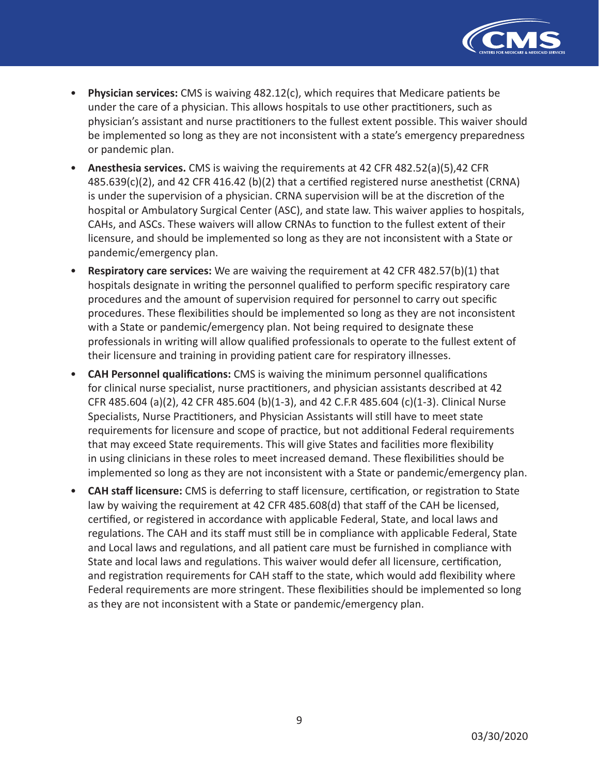

- **Physician services:** CMS is waiving 482.12(c), which requires that Medicare patients be under the care of a physician. This allows hospitals to use other practitioners, such as physician's assistant and nurse practitioners to the fullest extent possible. This waiver should be implemented so long as they are not inconsistent with a state's emergency preparedness or pandemic plan.
- **Anesthesia services.** CMS is waiving the requirements at 42 CFR 482.52(a)(5),42 CFR 485.639(c)(2), and 42 CFR 416.42 (b)(2) that a certified registered nurse anesthetist (CRNA) is under the supervision of a physician. CRNA supervision will be at the discretion of the hospital or Ambulatory Surgical Center (ASC), and state law. This waiver applies to hospitals, CAHs, and ASCs. These waivers will allow CRNAs to function to the fullest extent of their licensure, and should be implemented so long as they are not inconsistent with a State or pandemic/emergency plan.
- **Respiratory care services:** We are waiving the requirement at 42 CFR 482.57(b)(1) that hospitals designate in writing the personnel qualified to perform specific respiratory care procedures and the amount of supervision required for personnel to carry out specific procedures. These flexibilities should be implemented so long as they are not inconsistent with a State or pandemic/emergency plan. Not being required to designate these professionals in writing will allow qualified professionals to operate to the fullest extent of their licensure and training in providing patient care for respiratory illnesses.
- **CAH Personnel qualifications:** CMS is waiving the minimum personnel qualifications for clinical nurse specialist, nurse practitioners, and physician assistants described at 42 CFR 485.604 (a)(2), 42 CFR 485.604 (b)(1-3), and 42 C.F.R 485.604 (c)(1-3). Clinical Nurse Specialists, Nurse Practitioners, and Physician Assistants will still have to meet state requirements for licensure and scope of practice, but not additional Federal requirements that may exceed State requirements. This will give States and facilities more flexibility in using clinicians in these roles to meet increased demand. These flexibilities should be implemented so long as they are not inconsistent with a State or pandemic/emergency plan.
- **CAH staff licensure:** CMS is deferring to staff licensure, certification, or registration to State law by waiving the requirement at 42 CFR 485.608(d) that staff of the CAH be licensed, certified, or registered in accordance with applicable Federal, State, and local laws and regulations. The CAH and its staff must still be in compliance with applicable Federal, State and Local laws and regulations, and all patient care must be furnished in compliance with State and local laws and regulations. This waiver would defer all licensure, certification, and registration requirements for CAH staff to the state, which would add flexibility where Federal requirements are more stringent. These flexibilities should be implemented so long as they are not inconsistent with a State or pandemic/emergency plan.